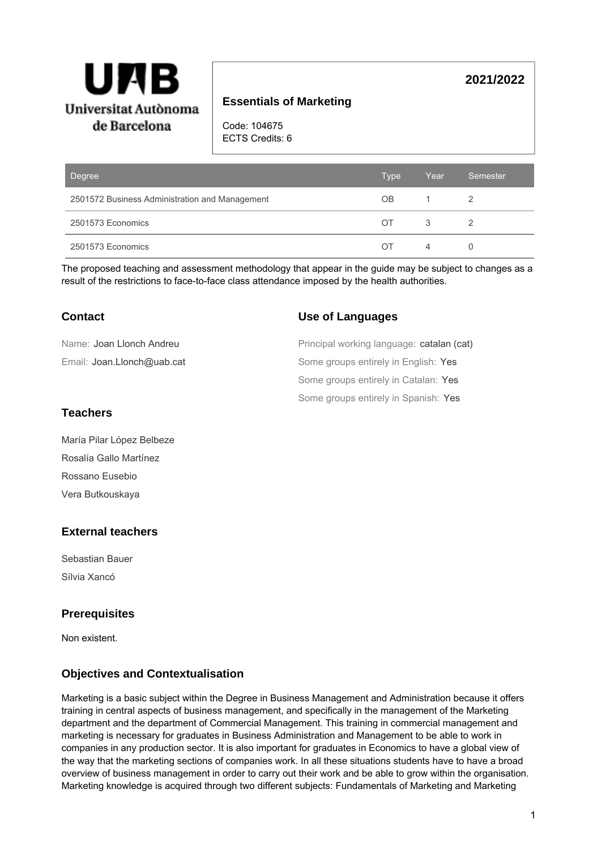

# **Essentials of Marketing**

Code: 104675 ECTS Credits: 6

| Degree                                         | Type | Year | Semester |
|------------------------------------------------|------|------|----------|
| 2501572 Business Administration and Management | OB.  |      |          |
| 2501573 Economics                              | OT.  | 3    |          |
| 2501573 Economics                              | OΤ   | 4    |          |

The proposed teaching and assessment methodology that appear in the guide may be subject to changes as a result of the restrictions to face-to-face class attendance imposed by the health authorities.

| Contact                    | <b>Use of Languages</b>                   |
|----------------------------|-------------------------------------------|
| Name: Joan Llonch Andreu   | Principal working language: catalan (cat) |
| Email: Joan.Llonch@uab.cat | Some groups entirely in English: Yes      |
|                            | Some groups entirely in Catalan: Yes      |
|                            | Some groups entirely in Spanish: Yes      |
| Teachers                   |                                           |

### **Teachers**

María Pilar López Belbeze Rosalía Gallo Martínez Rossano Eusebio Vera Butkouskaya

## **External teachers**

Sebastian Bauer Sílvia Xancó

## **Prerequisites**

Non existent.

## **Objectives and Contextualisation**

Marketing is a basic subject within the Degree in Business Management and Administration because it offers training in central aspects of business management, and specifically in the management of the Marketing department and the department of Commercial Management. This training in commercial management and marketing is necessary for graduates in Business Administration and Management to be able to work in companies in any production sector. It is also important for graduates in Economics to have a global view of the way that the marketing sections of companies work. In all these situations students have to have a broad overview of business management in order to carry out their work and be able to grow within the organisation. Marketing knowledge is acquired through two different subjects: Fundamentals of Marketing and Marketing

**2021/2022**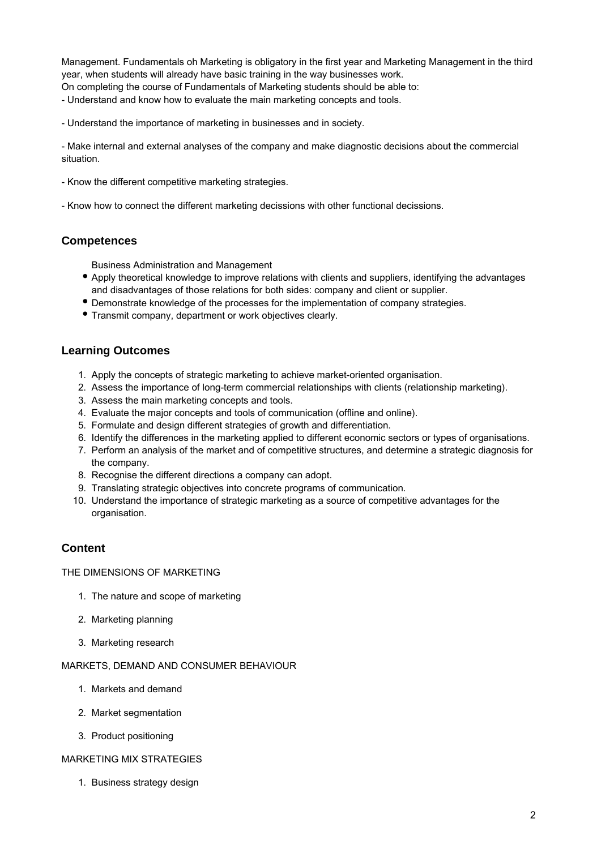Management. Fundamentals oh Marketing is obligatory in the first year and Marketing Management in the third year, when students will already have basic training in the way businesses work.

On completing the course of Fundamentals of Marketing students should be able to:

- Understand and know how to evaluate the main marketing concepts and tools.

- Understand the importance of marketing in businesses and in society.

- Make internal and external analyses of the company and make diagnostic decisions about the commercial situation.

- Know the different competitive marketing strategies.

- Know how to connect the different marketing decissions with other functional decissions.

## **Competences**

Business Administration and Management

- Apply theoretical knowledge to improve relations with clients and suppliers, identifying the advantages and disadvantages of those relations for both sides: company and client or supplier.
- Demonstrate knowledge of the processes for the implementation of company strategies.
- Transmit company, department or work objectives clearly.

## **Learning Outcomes**

- 1. Apply the concepts of strategic marketing to achieve market-oriented organisation.
- 2. Assess the importance of long-term commercial relationships with clients (relationship marketing).
- 3. Assess the main marketing concepts and tools.
- 4. Evaluate the major concepts and tools of communication (offline and online).
- 5. Formulate and design different strategies of growth and differentiation.
- 6. Identify the differences in the marketing applied to different economic sectors or types of organisations.
- 7. Perform an analysis of the market and of competitive structures, and determine a strategic diagnosis for the company.
- 8. Recognise the different directions a company can adopt.
- 9. Translating strategic objectives into concrete programs of communication.
- 10. Understand the importance of strategic marketing as a source of competitive advantages for the organisation.

# **Content**

THE DIMENSIONS OF MARKETING

- 1. The nature and scope of marketing
- 2. Marketing planning
- 3. Marketing research

### MARKETS, DEMAND AND CONSUMER BEHAVIOUR

- 1. Markets and demand
- 2. Market segmentation
- 3. Product positioning

### MARKETING MIX STRATEGIES

1. Business strategy design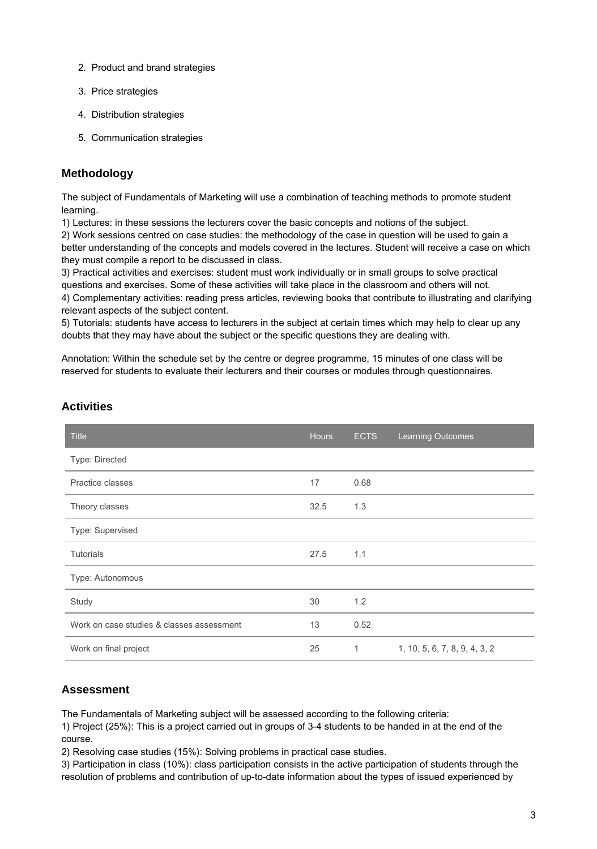- 2. Product and brand strategies
- 3. Price strategies
- 4. Distribution strategies
- 5. Communication strategies

# **Methodology**

The subject of Fundamentals of Marketing will use a combination of teaching methods to promote student learning.

1) Lectures: in these sessions the lecturers cover the basic concepts and notions of the subject.

2) Work sessions centred on case studies: the methodology of the case in question will be used to gain a better understanding of the concepts and models covered in the lectures. Student will receive a case on which they must compile a report to be discussed in class.

3) Practical activities and exercises: student must work individually or in small groups to solve practical questions and exercises. Some of these activities will take place in the classroom and others will not. 4) Complementary activities: reading press articles, reviewing books that contribute to illustrating and clarifying relevant aspects of the subject content.

5) Tutorials: students have access to lecturers in the subject at certain times which may help to clear up any doubts that they may have about the subject or the specific questions they are dealing with.

Annotation: Within the schedule set by the centre or degree programme, 15 minutes of one class will be reserved for students to evaluate their lecturers and their courses or modules through questionnaires.

| <b>Title</b>                              | <b>Hours</b> | <b>ECTS</b> | <b>Learning Outcomes</b>      |
|-------------------------------------------|--------------|-------------|-------------------------------|
| Type: Directed                            |              |             |                               |
| Practice classes                          | 17           | 0.68        |                               |
| Theory classes                            | 32.5         | 1.3         |                               |
| Type: Supervised                          |              |             |                               |
| <b>Tutorials</b>                          | 27.5         | 1.1         |                               |
| Type: Autonomous                          |              |             |                               |
| Study                                     | 30           | 1.2         |                               |
| Work on case studies & classes assessment | 13           | 0.52        |                               |
| Work on final project                     | 25           | 1           | 1, 10, 5, 6, 7, 8, 9, 4, 3, 2 |

# **Activities**

# **Assessment**

The Fundamentals of Marketing subject will be assessed according to the following criteria:

1) Project (25%): This is a project carried out in groups of 3-4 students to be handed in at the end of the course.

2) Resolving case studies (15%): Solving problems in practical case studies.

3) Participation in class (10%): class participation consists in the active participation of students through the resolution of problems and contribution of up-to-date information about the types of issued experienced by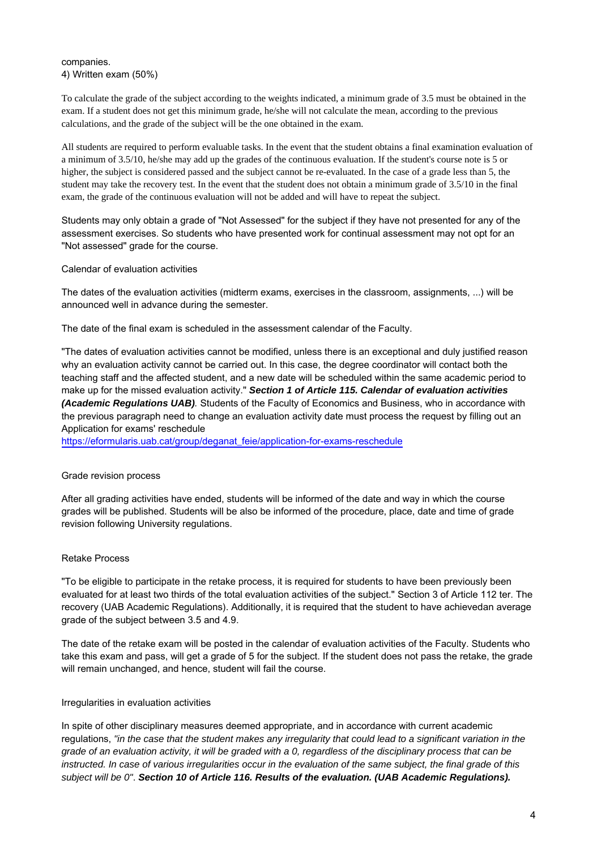companies. 4) Written exam (50%)

To calculate the grade of the subject according to the weights indicated, a minimum grade of 3.5 must be obtained in the exam. If a student does not get this minimum grade, he/she will not calculate the mean, according to the previous calculations, and the grade of the subject will be the one obtained in the exam.

All students are required to perform evaluable tasks. In the event that the student obtains a final examination evaluation of a minimum of 3.5/10, he/she may add up the grades of the continuous evaluation. If the student's course note is 5 or higher, the subject is considered passed and the subject cannot be re-evaluated. In the case of a grade less than 5, the student may take the recovery test. In the event that the student does not obtain a minimum grade of 3.5/10 in the final exam, the grade of the continuous evaluation will not be added and will have to repeat the subject.

Students may only obtain a grade of "Not Assessed" for the subject if they have not presented for any of the assessment exercises. So students who have presented work for continual assessment may not opt for an "Not assessed" grade for the course.

Calendar of evaluation activities

The dates of the evaluation activities (midterm exams, exercises in the classroom, assignments, ...) will be announced well in advance during the semester.

The date of the final exam is scheduled in the assessment calendar of the Faculty.

"The dates of evaluation activities cannot be modified, unless there is an exceptional and duly justified reason why an evaluation activity cannot be carried out. In this case, the degree coordinator will contact both the teaching staff and the affected student, and a new date will be scheduled within the same academic period to make up for the missed evaluation activity." **Section 1 of Article 115. Calendar of evaluation activities (Academic Regulations UAB)**. Students of the Faculty of Economics and Business, who in accordance with the previous paragraph need to change an evaluation activity date must process the request by filling out an Application for exams' reschedule

[https://eformularis.uab.cat/group/deganat\\_feie/application-for-exams-reschedule](https://eformularis.uab.cat/group/deganat_feie/application-for-exams-reschedule)

### Grade revision process

After all grading activities have ended, students will be informed of the date and way in which the course grades will be published. Students will be also be informed of the procedure, place, date and time of grade revision following University regulations.

### Retake Process

"To be eligible to participate in the retake process, it is required for students to have been previously been evaluated for at least two thirds of the total evaluation activities of the subject." Section 3 of Article 112 ter. The recovery (UAB Academic Regulations). Additionally, it is required that the student to have achievedan average grade of the subject between 3.5 and 4.9.

The date of the retake exam will be posted in the calendar of evaluation activities of the Faculty. Students who take this exam and pass, will get a grade of 5 for the subject. If the student does not pass the retake, the grade will remain unchanged, and hence, student will fail the course.

### Irregularities in evaluation activities

In spite of other disciplinary measures deemed appropriate, and in accordance with current academic regulations, "in the case that the student makes any irregularity that could lead to a significant variation in the grade of an evaluation activity, it will be graded with a 0, regardless of the disciplinary process that can be instructed. In case of various irregularities occur in the evaluation of the same subject, the final grade of this subject will be 0". **Section 10 of Article 116. Results of the evaluation. (UAB Academic Regulations).**